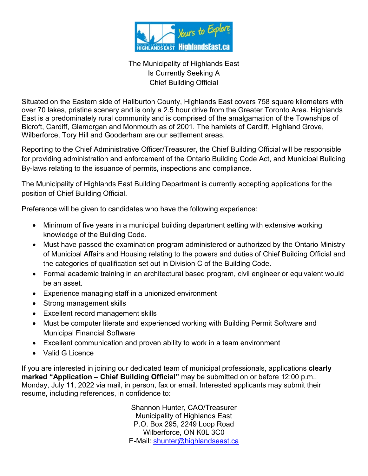

## The Municipality of Highlands East Is Currently Seeking A Chief Building Official

Situated on the Eastern side of Haliburton County, Highlands East covers 758 square kilometers with over 70 lakes, pristine scenery and is only a 2.5 hour drive from the Greater Toronto Area. Highlands East is a predominately rural community and is comprised of the amalgamation of the Townships of Bicroft, Cardiff, Glamorgan and Monmouth as of 2001. The hamlets of Cardiff, Highland Grove, Wilberforce, Tory Hill and Gooderham are our settlement areas.

Reporting to the Chief Administrative Officer/Treasurer, the Chief Building Official will be responsible for providing administration and enforcement of the Ontario Building Code Act, and Municipal Building By-laws relating to the issuance of permits, inspections and compliance.

The Municipality of Highlands East Building Department is currently accepting applications for the position of Chief Building Official.

Preference will be given to candidates who have the following experience:

- Minimum of five years in a municipal building department setting with extensive working knowledge of the Building Code.
- Must have passed the examination program administered or authorized by the Ontario Ministry of Municipal Affairs and Housing relating to the powers and duties of Chief Building Official and the categories of qualification set out in Division C of the Building Code.
- Formal academic training in an architectural based program, civil engineer or equivalent would be an asset.
- Experience managing staff in a unionized environment
- Strong management skills
- Excellent record management skills
- Must be computer literate and experienced working with Building Permit Software and Municipal Financial Software
- Excellent communication and proven ability to work in a team environment
- Valid G Licence

If you are interested in joining our dedicated team of municipal professionals, applications **clearly marked "Application – Chief Building Official"** may be submitted on or before 12:00 p.m., Monday, July 11, 2022 via mail, in person, fax or email. Interested applicants may submit their resume, including references, in confidence to:

> Shannon Hunter, CAO/Treasurer Municipality of Highlands East P.O. Box 295, 2249 Loop Road Wilberforce, ON K0L 3C0 E-Mail: [shunter@highlandseast.ca](mailto:shunter@highlandseast.ca)